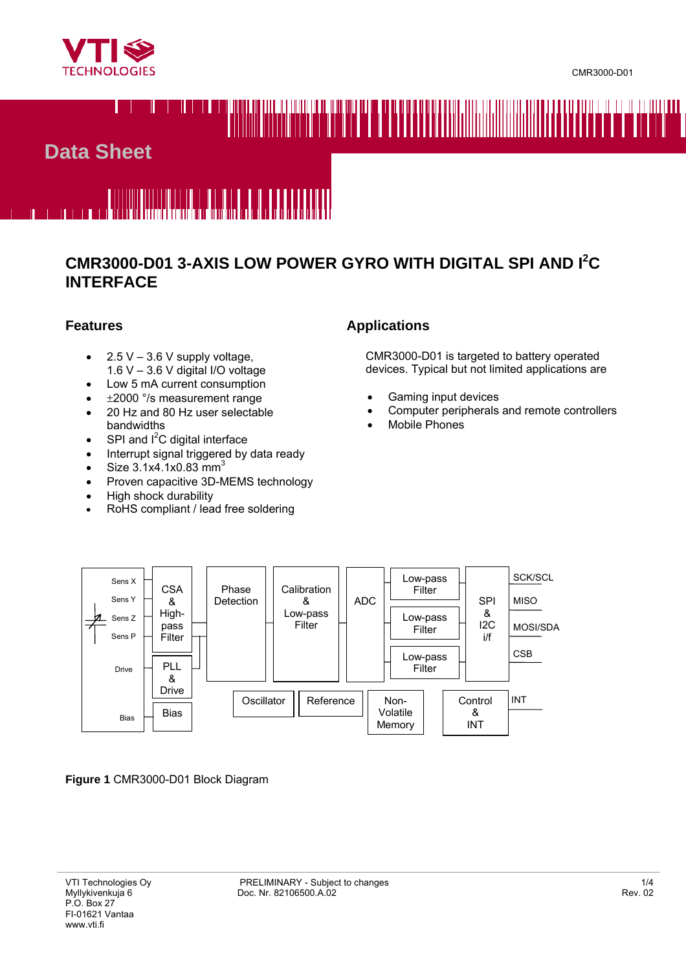



## **Data Sheet**

# <u> Italia kaominina dia Martino Belle de La Balde</u>

### **CMR3000-D01 3-AXIS LOW POWER GYRO WITH DIGITAL SPI AND I2 C INTERFACE**

#### **Features**

- $2.5 V 3.6 V$  supply voltage, 1.6 V – 3.6 V digital I/O voltage
- Low 5 mA current consumption
- ±2000 °/s measurement range
- 20 Hz and 80 Hz user selectable bandwidths
- SPI and  $I^2C$  digital interface
- Interrupt signal triggered by data ready
- Size  $3.1x4.1x0.83$  mm<sup>3</sup>
- Proven capacitive 3D-MEMS technology
- High shock durability
- RoHS compliant / lead free soldering

#### **Applications**

 CMR3000-D01 is targeted to battery operated devices. Typical but not limited applications are

- Gaming input devices
- Computer peripherals and remote controllers
- Mobile Phones



**Figure 1** CMR3000-D01 Block Diagram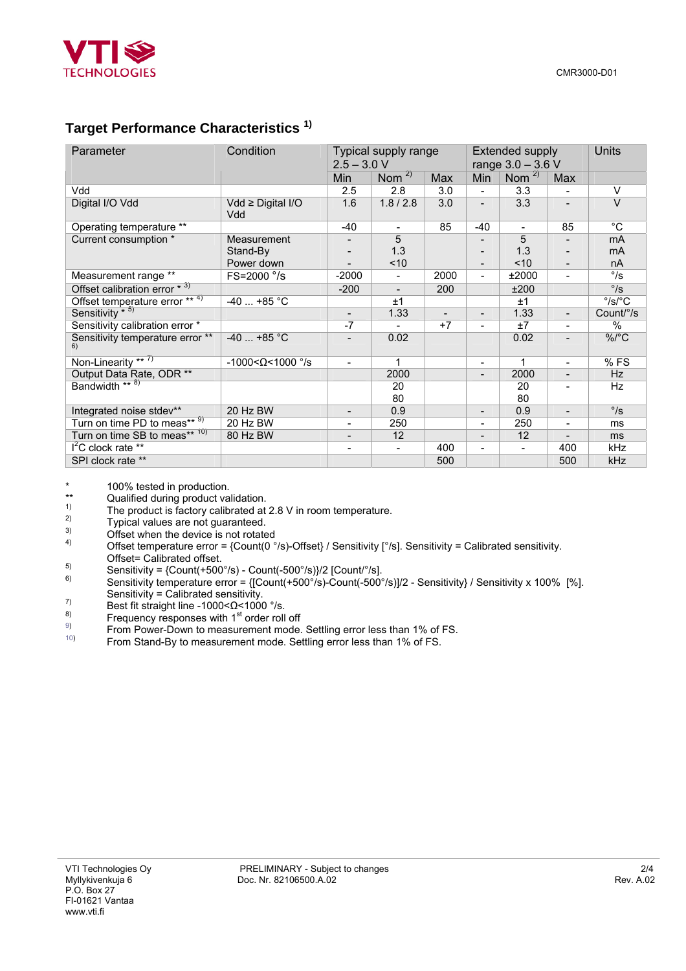

#### **Target Performance Characteristics 1)**

| Parameter                              | Condition                     | Typical supply range<br>$2.5 - 3.0 V$ |           |                          | <b>Extended supply</b><br>range $3.0 - 3.6 V$ |          |                          | <b>Units</b>              |
|----------------------------------------|-------------------------------|---------------------------------------|-----------|--------------------------|-----------------------------------------------|----------|--------------------------|---------------------------|
|                                        |                               | Min                                   | Nom $2$   | Max                      | Min                                           | Nom $2$  | Max                      |                           |
| Vdd                                    |                               | 2.5                                   | 2.8       | 3.0                      |                                               | 3.3      |                          | $\vee$                    |
| Digital I/O Vdd                        | $Vdd \geq Diqital I/O$<br>Vdd | 1.6                                   | 1.8 / 2.8 | 3.0                      |                                               | 3.3      |                          | $\vee$                    |
| Operating temperature **               |                               | $-40$                                 |           | 85                       | -40                                           |          | 85                       | $^{\circ}C$               |
| Current consumption *                  | Measurement                   |                                       | 5         |                          |                                               | 5        |                          | mA                        |
|                                        | Stand-By                      |                                       | 1.3       |                          |                                               | 1.3      |                          | mA                        |
|                                        | Power down                    |                                       | ~10       |                          |                                               | < 10     |                          | nA                        |
| Measurement range **                   | FS=2000 °/s                   | $-2000$                               |           | 2000                     |                                               | ±2000    |                          | $\degree$ /s              |
| Offset calibration error * 3)          |                               | $-200$                                |           | 200                      |                                               | ±200     |                          | $\degree$ /s              |
| Offset temperature error ** 4)         | $-40$ +85 °C                  |                                       | ±1        |                          |                                               | ±1       |                          | $\degree$ /s/ $\degree$ C |
| Sensitivity * 5)                       |                               | $\overline{\phantom{a}}$              | 1.33      | $\overline{\phantom{a}}$ | $\overline{\phantom{0}}$                      | 1.33     | $\overline{\phantom{a}}$ | Count/°/s                 |
| Sensitivity calibration error *        |                               | $-7$                                  |           | $+7$                     |                                               | ±7       |                          | %                         |
| Sensitivity temperature error **<br>6) | $-40$ +85 °C                  |                                       | 0.02      |                          |                                               | 0.02     |                          | %/°C                      |
| Non-Linearity ** $($ )                 | $-1000 < \Omega < 1000$ °/s   | $\overline{\phantom{a}}$              | 1         |                          | ۰                                             | 1        | $\overline{\phantom{a}}$ | %FS                       |
| Output Data Rate, ODR **               |                               |                                       | 2000      |                          |                                               | 2000     |                          | Hz                        |
| Bandwidth ** 8)                        |                               |                                       | 20<br>80  |                          |                                               | 20<br>80 |                          | Hz                        |
| Integrated noise stdev**               | 20 Hz BW                      |                                       | 0.9       |                          | $\overline{a}$                                | 0.9      |                          | $\degree$ /s              |
| Turn on time PD to meas** 9)           | 20 Hz BW                      | $\blacksquare$                        | 250       |                          | ۰                                             | 250      |                          | ms                        |
| Turn on time SB to meas** 10)          | 80 Hz BW                      | $\overline{\phantom{a}}$              | 12        |                          | $\overline{\phantom{a}}$                      | 12       |                          | ms                        |
| $I^2C$ clock rate **                   |                               |                                       |           | 400                      | $\overline{\phantom{a}}$                      |          | 400                      | kHz                       |
| SPI clock rate **                      |                               |                                       |           | 500                      |                                               |          | 500                      | kHz                       |

\* 100% tested in production.<br>\*\* Oualified during product va

\*\* Qualified during product validation.

- <sup>1)</sup> The product is factory calibrated at 2.8 V in room temperature.<br>Typical values are not guaranteed.<br> $\frac{3}{2}$  Offset when the dovine is not retated.
- 
- $\frac{3}{4}$  Offset when the device is not rotated
- Offset temperature error =  ${Count(0 °/s)}$ -Offset} / Sensitivity  $[°/s]$ . Sensitivity = Calibrated sensitivity. Offset= Calibrated offset.<br>Sensitivity = {Count(+500°/s) - Count(-500°/s)}/2 [Count/°/s].
- 
- $\frac{50}{100}$  Sensitivity temperature error = {[Count(+500°/s)-Count(-500°/s)]/2 Sensitivity} / Sensitivity x 100% [%]. Sensitivity = Calibrated sensitivity.<br> $\frac{7}{2}$  Best fit straight line  $\frac{1000}{26}$  = 1000
- $^{7)}$  Best fit straight line -1000< $\Omega$  <1000 °/s.<br>
Ecoupony responses with 1<sup>st</sup> ander reli
- $\overset{8)}{\Gamma}$  Frequency responses with 1<sup>st</sup> order roll off  $\overset{9)}{\Gamma}$
- From Power-Down to measurement mode. Settling error less than 1% of FS.
- 10) From Stand-By to measurement mode. Settling error less than 1% of FS.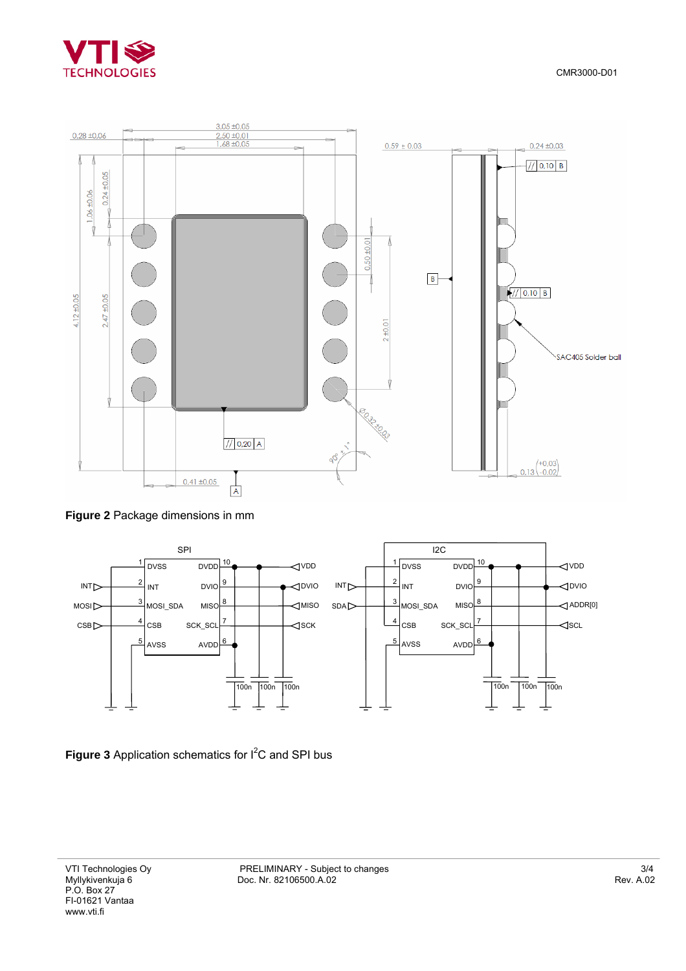



**Figure 2** Package dimensions in mm



Figure 3 Application schematics for I<sup>2</sup>C and SPI bus